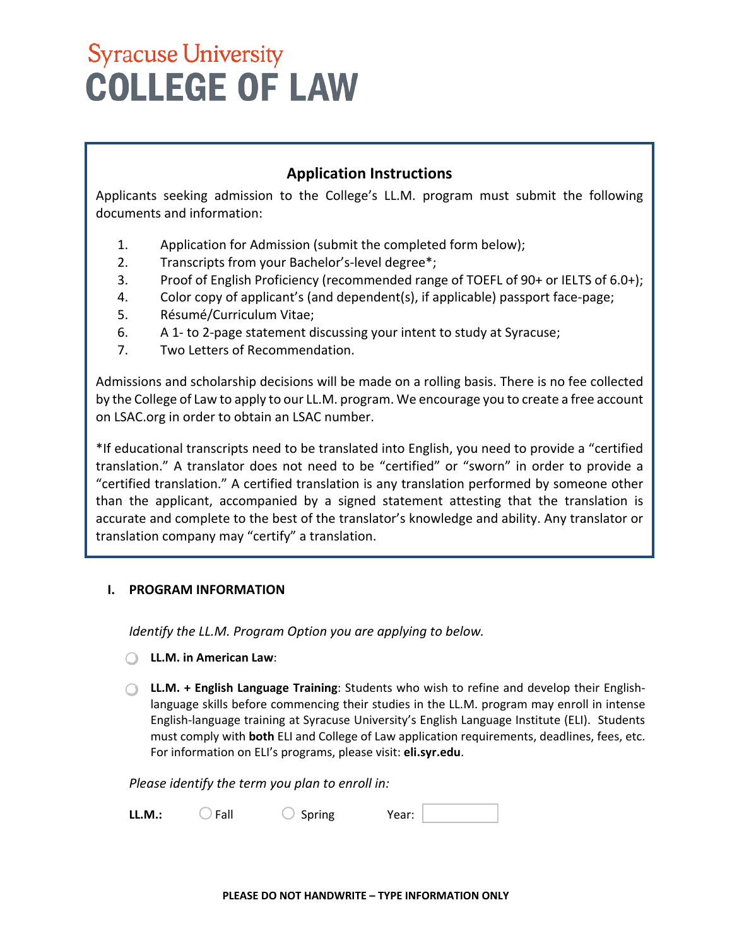### **Application Instructions**

Applicants seeking admission to the College's LL.M. program must submit the following documents and information:

- 1. Application for Admission (submit the completed form below);
- 2. Transcripts from your Bachelor's-level degree\*;
- 3. Proof of English Proficiency (recommended range of TOEFL of 90+ or IELTS of 6.0+);
- 4. Color copy of applicant's (and dependent(s), if applicable) passport face-page;
- 5. Résumé/Curriculum Vitae;
- 6. A 1- to 2-page statement discussing your intent to study at Syracuse;
- 7. Two Letters of Recommendation.

 by the College of Law to apply to our LL.M. program. We encourage you to create a free account Admissions and scholarship decisions will be made on a rolling basis. There is no fee collected on LSAC.org in order to obtain an LSAC number.

 translation." A translator does not need to be "certified" or "sworn" in order to provide a \*If educational transcripts need to be translated into English, you need to provide a "certified "certified translation." A certified translation is any translation performed by someone other than the applicant, accompanied by a signed statement attesting that the translation is accurate and complete to the best of the translator's knowledge and ability. Any translator or translation company may "certify" a translation.

### **I. PROGRAM INFORMATION**

*Identify the LL.M. Program Option you are applying to below.* 

- **LL.M. in American Law**:
- must comply with **both** ELI and College of Law application requirements, deadlines, fees, etc. **LL.M. + English Language Training**: Students who wish to refine and develop their Englishlanguage skills before commencing their studies in the LL.M. program may enroll in intense English-language training at Syracuse University's English Language Institute (ELI). Students For information on ELI's programs, please visit: **eli.syr.edu**.

*Please identify the term you plan to enroll in:* 

| <b>LL.M.:</b> | Fall | Spring | Year: |  |  |
|---------------|------|--------|-------|--|--|
|---------------|------|--------|-------|--|--|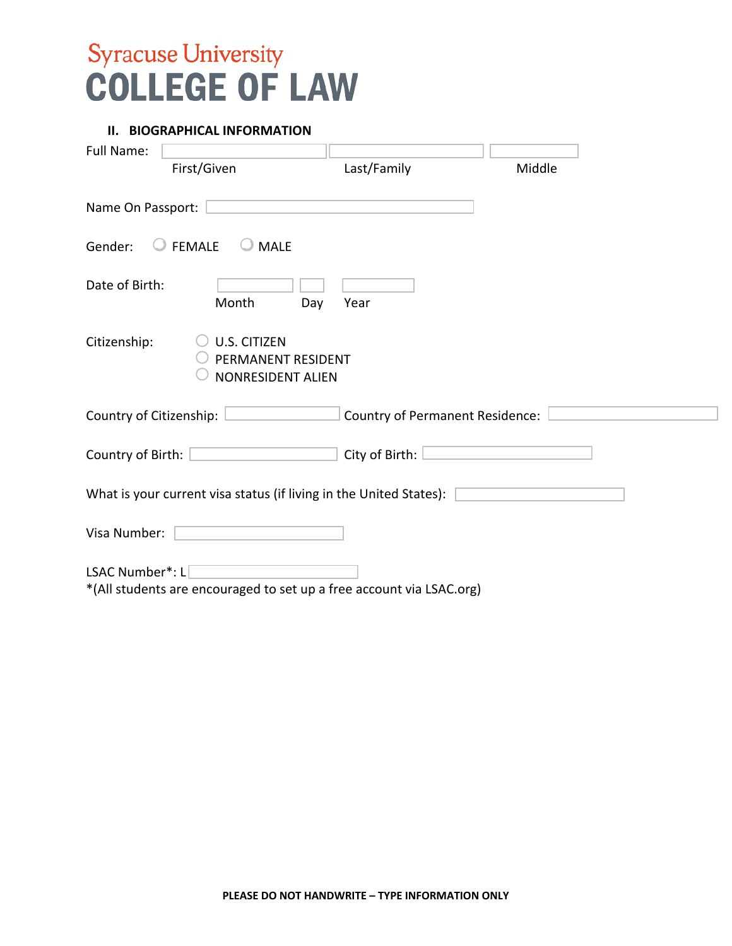#### **II. BIOGRAPHICAL INFORMATION**

| <b>Full Name:</b>            | First/Given                                                           | Last/Family                            | Middle |  |
|------------------------------|-----------------------------------------------------------------------|----------------------------------------|--------|--|
| Name On Passport:            |                                                                       |                                        |        |  |
| $\bigcirc$ FEMALE<br>Gender: | $\bigcirc$ MALE                                                       |                                        |        |  |
| Date of Birth:               | Month<br>Day                                                          | Year                                   |        |  |
| Citizenship:                 | <b>U.S. CITIZEN</b><br>PERMANENT RESIDENT<br><b>NONRESIDENT ALIEN</b> |                                        |        |  |
| Country of Citizenship:      |                                                                       | <b>Country of Permanent Residence:</b> |        |  |
| Country of Birth:            |                                                                       | City of Birth:                         |        |  |
|                              | What is your current visa status (if living in the United States):    |                                        |        |  |
| Visa Number:                 |                                                                       |                                        |        |  |
| LSAC Number*: L              | *(All students are encouraged to set up a free account via LSAC.org)  |                                        |        |  |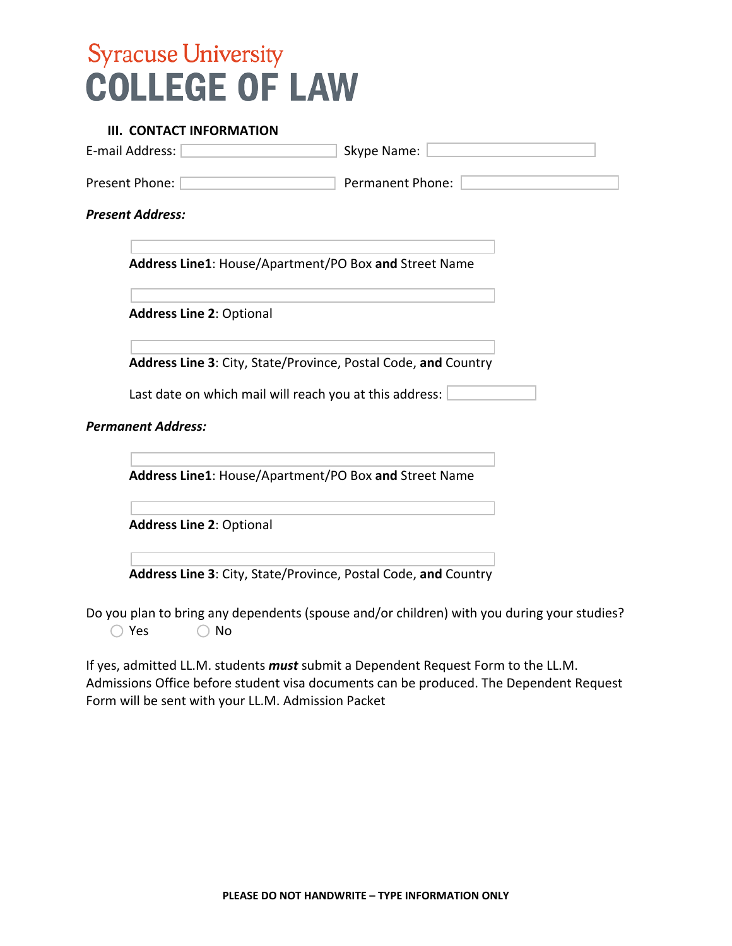#### **III. CONTACT INFORMATION**

| E-mail Address:                                                                                                                                                                                                                                                                                | Skype Name:                                                    |  |  |  |  |
|------------------------------------------------------------------------------------------------------------------------------------------------------------------------------------------------------------------------------------------------------------------------------------------------|----------------------------------------------------------------|--|--|--|--|
| <b>Permanent Phone:</b><br>Present Phone:                                                                                                                                                                                                                                                      |                                                                |  |  |  |  |
| <b>Present Address:</b>                                                                                                                                                                                                                                                                        |                                                                |  |  |  |  |
| Address Line1: House/Apartment/PO Box and Street Name                                                                                                                                                                                                                                          |                                                                |  |  |  |  |
| <b>Address Line 2: Optional</b>                                                                                                                                                                                                                                                                |                                                                |  |  |  |  |
|                                                                                                                                                                                                                                                                                                | Address Line 3: City, State/Province, Postal Code, and Country |  |  |  |  |
| Last date on which mail will reach you at this address:                                                                                                                                                                                                                                        |                                                                |  |  |  |  |
| <b>Permanent Address:</b>                                                                                                                                                                                                                                                                      |                                                                |  |  |  |  |
| Address Line1: House/Apartment/PO Box and Street Name                                                                                                                                                                                                                                          |                                                                |  |  |  |  |
| <b>Address Line 2: Optional</b>                                                                                                                                                                                                                                                                |                                                                |  |  |  |  |
| Address Line 3: City, State/Province, Postal Code, and Country<br>. The control between the control of the control of the control of the control of the control of the control of the control of the control of the control of the control of the control of the control of the control of the |                                                                |  |  |  |  |

Yes  $\bigcirc$  No Do you plan to bring any dependents (spouse and/or children) with you during your studies?

If yes, admitted LL.M. students *must* submit a Dependent Request Form to the LL.M. Admissions Office before student visa documents can be produced. The Dependent Request Form will be sent with your LL.M. Admission Packet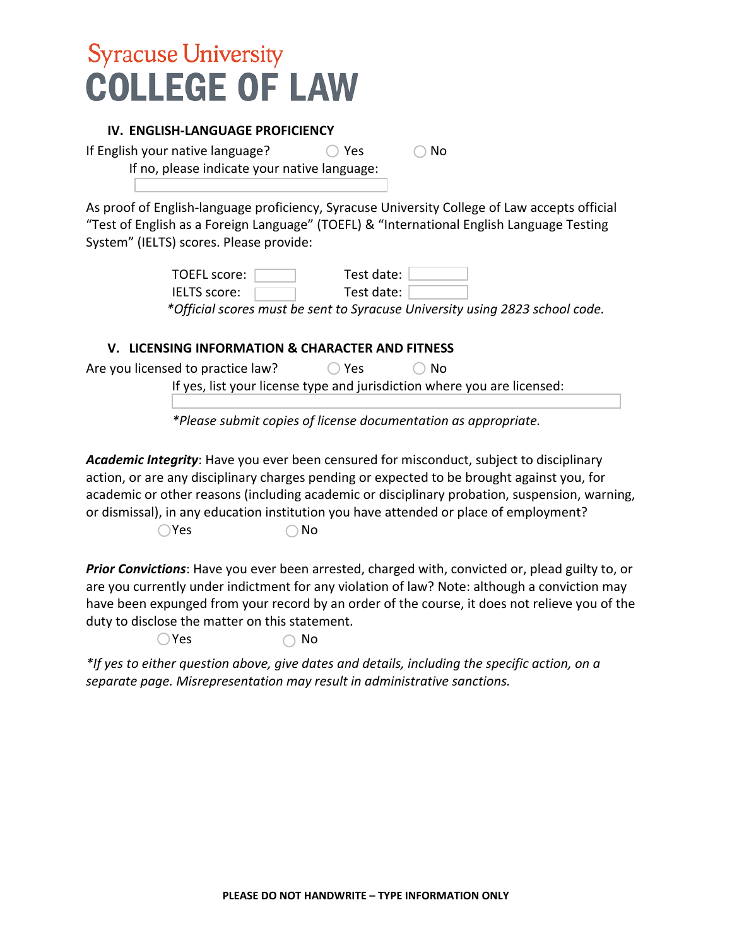#### **IV. ENGLISH-LANGUAGE PROFICIENCY**

If English your native language?  $\bigcirc$  Yes  $\bigcirc$  No

If no, please indicate your native language:

As proof of English-language proficiency, Syracuse University College of Law accepts official "Test of English as a Foreign Language" (TOEFL) & "International English Language Testing System" (IELTS) scores. Please provide:

> TOEFL score: Test date: IELTS score: Test date:

*\*Official scores must be sent to Syracuse University using 2823 school code.* 

### **V. LICENSING INFORMATION & CHARACTER AND FITNESS**

| Are you licensed to practice law?                                       | D Yes | $\bigcirc$ No |  |  |
|-------------------------------------------------------------------------|-------|---------------|--|--|
| If yes, list your license type and jurisdiction where you are licensed: |       |               |  |  |

*\*Please submit copies of license documentation as appropriate.* 

 $\bigcirc$ Yes *Academic Integrity*: Have you ever been censured for misconduct, subject to disciplinary action, or are any disciplinary charges pending or expected to be brought against you, for academic or other reasons (including academic or disciplinary probation, suspension, warning, or dismissal), in any education institution you have attended or place of employment?  $\bigcirc$  No

duty to disclose the matter on this statement.<br>  $\bigcirc$  Yes  $\bigcirc$  No *Prior Convictions*: Have you ever been arrested, charged with, convicted or, plead guilty to, or are you currently under indictment for any violation of law? Note: although a conviction may have been expunged from your record by an order of the course, it does not relieve you of the

 $\bigcirc$  Yes

*\*If yes to either question above, give dates and details, including the specific action, on a separate page. Misrepresentation may result in administrative sanctions.*